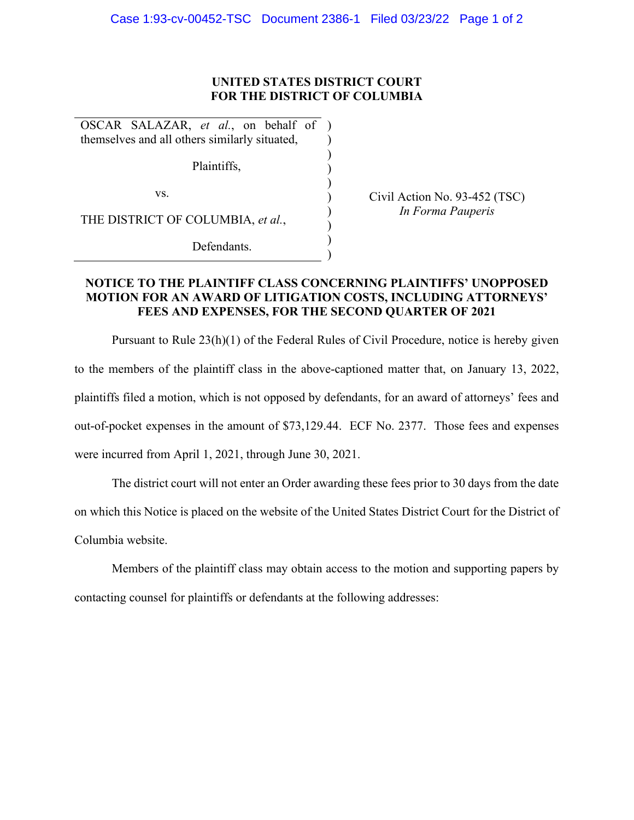## **UNITED STATES DISTRICT COURT FOR THE DISTRICT OF COLUMBIA**

) ) ) ) ) ) ) ) )

OSCAR SALAZAR, *et al.*, on behalf of ) themselves and all others similarly situated,

Plaintiffs,

vs.

THE DISTRICT OF COLUMBIA, *et al.*,

Defendants.

Civil Action No. 93-452 (TSC) *In Forma Pauperis* 

## **NOTICE TO THE PLAINTIFF CLASS CONCERNING PLAINTIFFS' UNOPPOSED MOTION FOR AN AWARD OF LITIGATION COSTS, INCLUDING ATTORNEYS' FEES AND EXPENSES, FOR THE SECOND QUARTER OF 2021**

Pursuant to Rule 23(h)(1) of the Federal Rules of Civil Procedure, notice is hereby given to the members of the plaintiff class in the above-captioned matter that, on January 13, 2022, plaintiffs filed a motion, which is not opposed by defendants, for an award of attorneys' fees and out-of-pocket expenses in the amount of \$73,129.44. ECF No. 2377. Those fees and expenses were incurred from April 1, 2021, through June 30, 2021.

The district court will not enter an Order awarding these fees prior to 30 days from the date on which this Notice is placed on the website of the United States District Court for the District of Columbia website.

Members of the plaintiff class may obtain access to the motion and supporting papers by contacting counsel for plaintiffs or defendants at the following addresses: